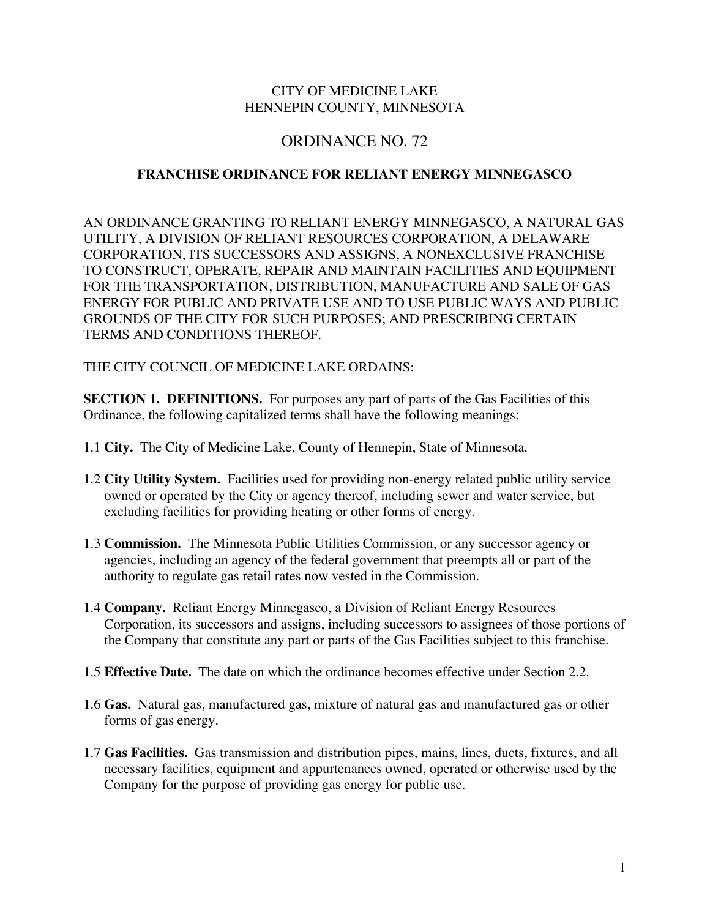### CITY OF MEDICINE LAKE HENNEPIN COUNTY, MINNESOTA

# ORDINANCE NO. 72

### **FRANCHISE ORDINANCE FOR RELIANT ENERGY MINNEGASCO**

AN ORDINANCE GRANTING TO RELIANT ENERGY MINNEGASCO, A NATURAL GAS UTILITY, A DIVISION OF RELIANT RESOURCES CORPORATION, A DELAWARE CORPORATION, ITS SUCCESSORS AND ASSIGNS, A NONEXCLUSIVE FRANCHISE TO CONSTRUCT, OPERATE, REPAIR AND MAINTAIN FACILITIES AND EQUIPMENT FOR THE TRANSPORTATION, DISTRIBUTION, MANUFACTURE AND SALE OF GAS ENERGY FOR PUBLIC AND PRIVATE USE AND TO USE PUBLIC WAYS AND PUBLIC GROUNDS OF THE CITY FOR SUCH PURPOSES; AND PRESCRIBING CERTAIN TERMS AND CONDITIONS THEREOF.

#### THE CITY COUNCIL OF MEDICINE LAKE ORDAINS:

**SECTION 1. DEFINITIONS.** For purposes any part of parts of the Gas Facilities of this Ordinance, the following capitalized terms shall have the following meanings:

- 1.1 **City.** The City of Medicine Lake, County of Hennepin, State of Minnesota.
- 1.2 **City Utility System.** Facilities used for providing non-energy related public utility service owned or operated by the City or agency thereof, including sewer and water service, but excluding facilities for providing heating or other forms of energy.
- 1.3 **Commission.** The Minnesota Public Utilities Commission, or any successor agency or agencies, including an agency of the federal government that preempts all or part of the authority to regulate gas retail rates now vested in the Commission.
- 1.4 **Company.** Reliant Energy Minnegasco, a Division of Reliant Energy Resources Corporation, its successors and assigns, including successors to assignees of those portions of the Company that constitute any part or parts of the Gas Facilities subject to this franchise.
- 1.5 **Effective Date.** The date on which the ordinance becomes effective under Section 2.2.
- 1.6 **Gas.** Natural gas, manufactured gas, mixture of natural gas and manufactured gas or other forms of gas energy.
- 1.7 **Gas Facilities.** Gas transmission and distribution pipes, mains, lines, ducts, fixtures, and all necessary facilities, equipment and appurtenances owned, operated or otherwise used by the Company for the purpose of providing gas energy for public use.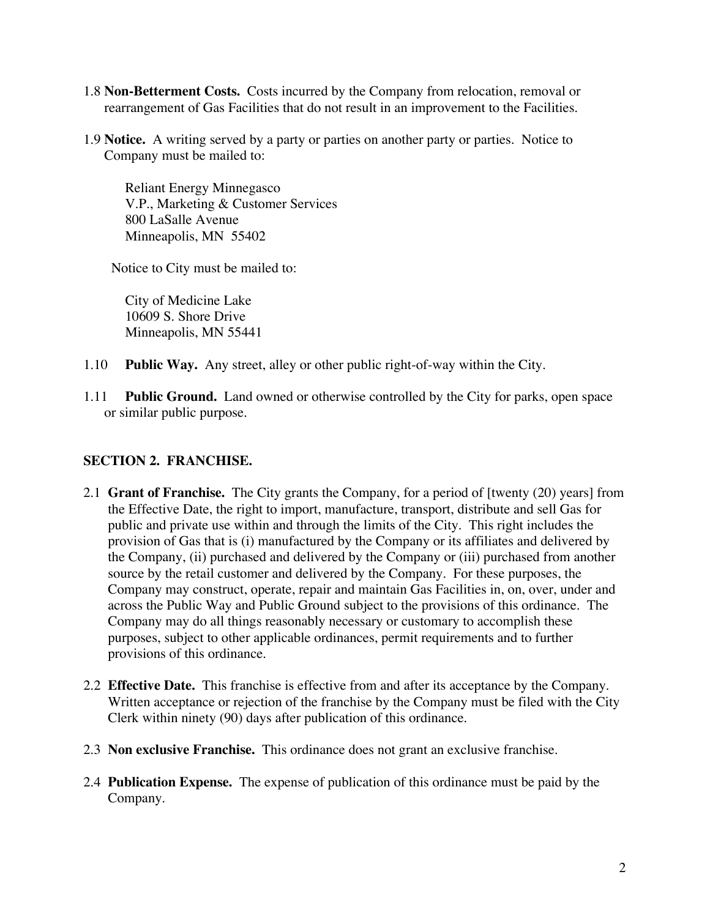- 1.8 **Non-Betterment Costs.** Costs incurred by the Company from relocation, removal or rearrangement of Gas Facilities that do not result in an improvement to the Facilities.
- 1.9 **Notice.** A writing served by a party or parties on another party or parties. Notice to Company must be mailed to:

Reliant Energy Minnegasco V.P., Marketing & Customer Services 800 LaSalle Avenue Minneapolis, MN 55402

Notice to City must be mailed to:

City of Medicine Lake 10609 S. Shore Drive Minneapolis, MN 55441

- 1.10 **Public Way.** Any street, alley or other public right-of-way within the City.
- 1.11 **Public Ground.** Land owned or otherwise controlled by the City for parks, open space or similar public purpose.

# **SECTION 2. FRANCHISE.**

- 2.1 **Grant of Franchise.** The City grants the Company, for a period of [twenty (20) years] from the Effective Date, the right to import, manufacture, transport, distribute and sell Gas for public and private use within and through the limits of the City. This right includes the provision of Gas that is (i) manufactured by the Company or its affiliates and delivered by the Company, (ii) purchased and delivered by the Company or (iii) purchased from another source by the retail customer and delivered by the Company. For these purposes, the Company may construct, operate, repair and maintain Gas Facilities in, on, over, under and across the Public Way and Public Ground subject to the provisions of this ordinance. The Company may do all things reasonably necessary or customary to accomplish these purposes, subject to other applicable ordinances, permit requirements and to further provisions of this ordinance.
- 2.2 **Effective Date.** This franchise is effective from and after its acceptance by the Company. Written acceptance or rejection of the franchise by the Company must be filed with the City Clerk within ninety (90) days after publication of this ordinance.
- 2.3 **Non exclusive Franchise.** This ordinance does not grant an exclusive franchise.
- 2.4 **Publication Expense.** The expense of publication of this ordinance must be paid by the Company.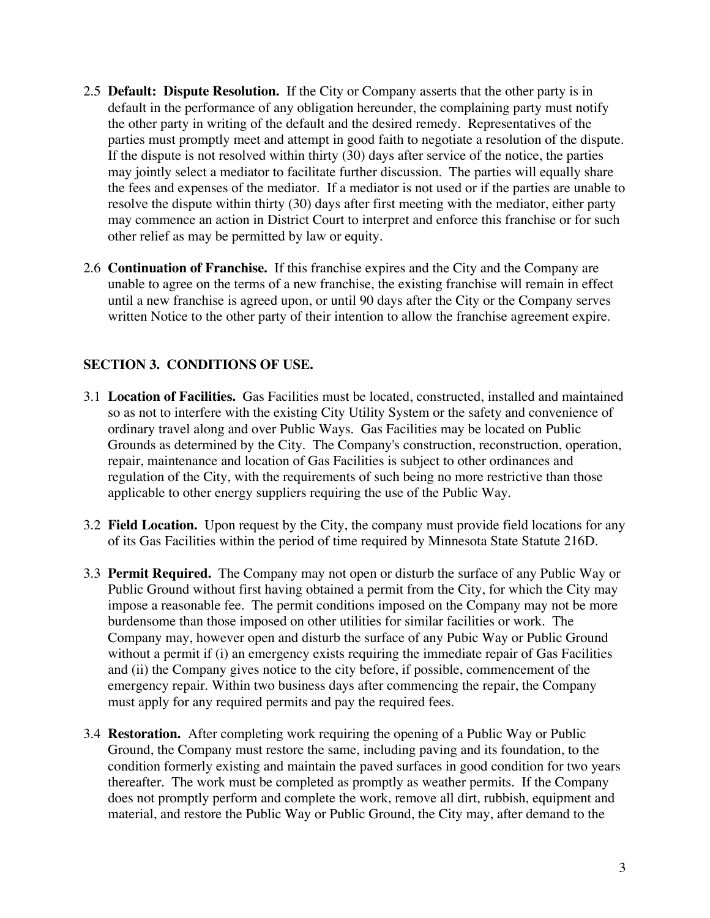- 2.5 **Default: Dispute Resolution.** If the City or Company asserts that the other party is in default in the performance of any obligation hereunder, the complaining party must notify the other party in writing of the default and the desired remedy. Representatives of the parties must promptly meet and attempt in good faith to negotiate a resolution of the dispute. If the dispute is not resolved within thirty (30) days after service of the notice, the parties may jointly select a mediator to facilitate further discussion. The parties will equally share the fees and expenses of the mediator. If a mediator is not used or if the parties are unable to resolve the dispute within thirty (30) days after first meeting with the mediator, either party may commence an action in District Court to interpret and enforce this franchise or for such other relief as may be permitted by law or equity.
- 2.6 **Continuation of Franchise.** If this franchise expires and the City and the Company are unable to agree on the terms of a new franchise, the existing franchise will remain in effect until a new franchise is agreed upon, or until 90 days after the City or the Company serves written Notice to the other party of their intention to allow the franchise agreement expire.

# **SECTION 3. CONDITIONS OF USE.**

- 3.1 **Location of Facilities.** Gas Facilities must be located, constructed, installed and maintained so as not to interfere with the existing City Utility System or the safety and convenience of ordinary travel along and over Public Ways. Gas Facilities may be located on Public Grounds as determined by the City. The Company's construction, reconstruction, operation, repair, maintenance and location of Gas Facilities is subject to other ordinances and regulation of the City, with the requirements of such being no more restrictive than those applicable to other energy suppliers requiring the use of the Public Way.
- 3.2 **Field Location.** Upon request by the City, the company must provide field locations for any of its Gas Facilities within the period of time required by Minnesota State Statute 216D.
- 3.3 **Permit Required.** The Company may not open or disturb the surface of any Public Way or Public Ground without first having obtained a permit from the City, for which the City may impose a reasonable fee. The permit conditions imposed on the Company may not be more burdensome than those imposed on other utilities for similar facilities or work. The Company may, however open and disturb the surface of any Pubic Way or Public Ground without a permit if (i) an emergency exists requiring the immediate repair of Gas Facilities and (ii) the Company gives notice to the city before, if possible, commencement of the emergency repair. Within two business days after commencing the repair, the Company must apply for any required permits and pay the required fees.
- 3.4 **Restoration.** After completing work requiring the opening of a Public Way or Public Ground, the Company must restore the same, including paving and its foundation, to the condition formerly existing and maintain the paved surfaces in good condition for two years thereafter. The work must be completed as promptly as weather permits. If the Company does not promptly perform and complete the work, remove all dirt, rubbish, equipment and material, and restore the Public Way or Public Ground, the City may, after demand to the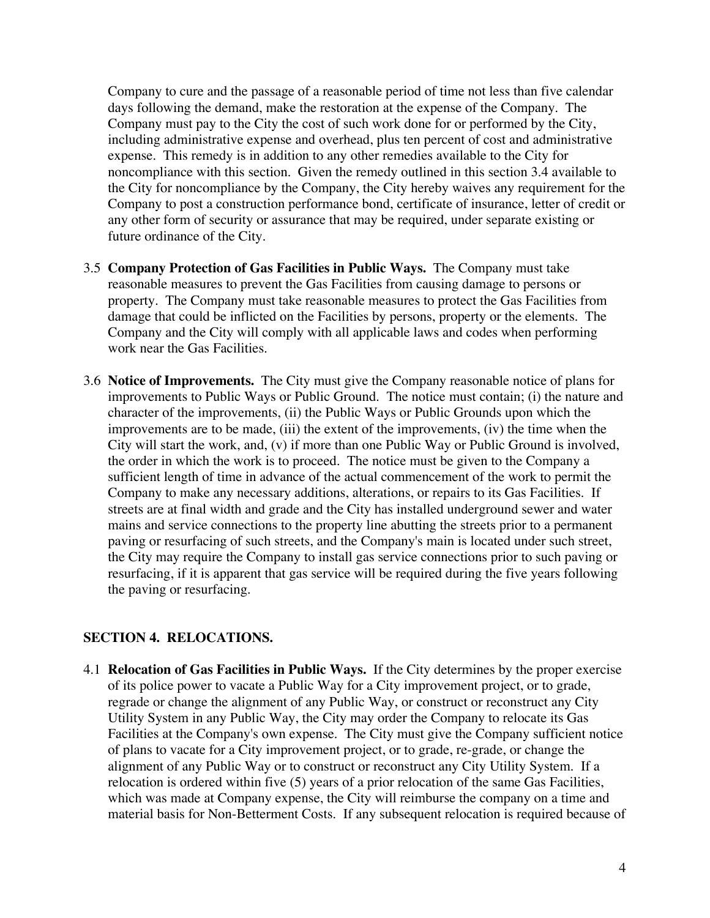Company to cure and the passage of a reasonable period of time not less than five calendar days following the demand, make the restoration at the expense of the Company. The Company must pay to the City the cost of such work done for or performed by the City, including administrative expense and overhead, plus ten percent of cost and administrative expense. This remedy is in addition to any other remedies available to the City for noncompliance with this section. Given the remedy outlined in this section 3.4 available to the City for noncompliance by the Company, the City hereby waives any requirement for the Company to post a construction performance bond, certificate of insurance, letter of credit or any other form of security or assurance that may be required, under separate existing or future ordinance of the City.

- 3.5 **Company Protection of Gas Facilities in Public Ways.** The Company must take reasonable measures to prevent the Gas Facilities from causing damage to persons or property. The Company must take reasonable measures to protect the Gas Facilities from damage that could be inflicted on the Facilities by persons, property or the elements. The Company and the City will comply with all applicable laws and codes when performing work near the Gas Facilities.
- 3.6 **Notice of Improvements.** The City must give the Company reasonable notice of plans for improvements to Public Ways or Public Ground. The notice must contain; (i) the nature and character of the improvements, (ii) the Public Ways or Public Grounds upon which the improvements are to be made, (iii) the extent of the improvements, (iv) the time when the City will start the work, and, (v) if more than one Public Way or Public Ground is involved, the order in which the work is to proceed. The notice must be given to the Company a sufficient length of time in advance of the actual commencement of the work to permit the Company to make any necessary additions, alterations, or repairs to its Gas Facilities. If streets are at final width and grade and the City has installed underground sewer and water mains and service connections to the property line abutting the streets prior to a permanent paving or resurfacing of such streets, and the Company's main is located under such street, the City may require the Company to install gas service connections prior to such paving or resurfacing, if it is apparent that gas service will be required during the five years following the paving or resurfacing.

# **SECTION 4. RELOCATIONS.**

4.1 **Relocation of Gas Facilities in Public Ways.** If the City determines by the proper exercise of its police power to vacate a Public Way for a City improvement project, or to grade, regrade or change the alignment of any Public Way, or construct or reconstruct any City Utility System in any Public Way, the City may order the Company to relocate its Gas Facilities at the Company's own expense. The City must give the Company sufficient notice of plans to vacate for a City improvement project, or to grade, re-grade, or change the alignment of any Public Way or to construct or reconstruct any City Utility System. If a relocation is ordered within five (5) years of a prior relocation of the same Gas Facilities, which was made at Company expense, the City will reimburse the company on a time and material basis for Non-Betterment Costs. If any subsequent relocation is required because of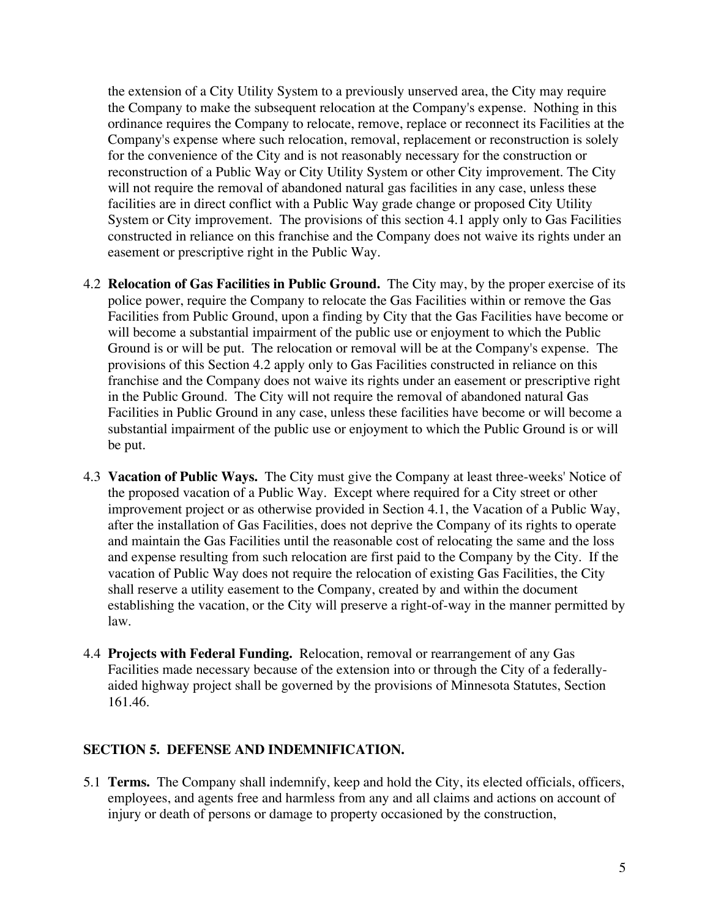the extension of a City Utility System to a previously unserved area, the City may require the Company to make the subsequent relocation at the Company's expense. Nothing in this ordinance requires the Company to relocate, remove, replace or reconnect its Facilities at the Company's expense where such relocation, removal, replacement or reconstruction is solely for the convenience of the City and is not reasonably necessary for the construction or reconstruction of a Public Way or City Utility System or other City improvement. The City will not require the removal of abandoned natural gas facilities in any case, unless these facilities are in direct conflict with a Public Way grade change or proposed City Utility System or City improvement. The provisions of this section 4.1 apply only to Gas Facilities constructed in reliance on this franchise and the Company does not waive its rights under an easement or prescriptive right in the Public Way.

- 4.2 **Relocation of Gas Facilities in Public Ground.** The City may, by the proper exercise of its police power, require the Company to relocate the Gas Facilities within or remove the Gas Facilities from Public Ground, upon a finding by City that the Gas Facilities have become or will become a substantial impairment of the public use or enjoyment to which the Public Ground is or will be put. The relocation or removal will be at the Company's expense. The provisions of this Section 4.2 apply only to Gas Facilities constructed in reliance on this franchise and the Company does not waive its rights under an easement or prescriptive right in the Public Ground. The City will not require the removal of abandoned natural Gas Facilities in Public Ground in any case, unless these facilities have become or will become a substantial impairment of the public use or enjoyment to which the Public Ground is or will be put.
- 4.3 **Vacation of Public Ways.** The City must give the Company at least three-weeks' Notice of the proposed vacation of a Public Way. Except where required for a City street or other improvement project or as otherwise provided in Section 4.1, the Vacation of a Public Way, after the installation of Gas Facilities, does not deprive the Company of its rights to operate and maintain the Gas Facilities until the reasonable cost of relocating the same and the loss and expense resulting from such relocation are first paid to the Company by the City. If the vacation of Public Way does not require the relocation of existing Gas Facilities, the City shall reserve a utility easement to the Company, created by and within the document establishing the vacation, or the City will preserve a right-of-way in the manner permitted by law.
- 4.4 **Projects with Federal Funding.** Relocation, removal or rearrangement of any Gas Facilities made necessary because of the extension into or through the City of a federallyaided highway project shall be governed by the provisions of Minnesota Statutes, Section 161.46.

#### **SECTION 5. DEFENSE AND INDEMNIFICATION.**

5.1 **Terms.** The Company shall indemnify, keep and hold the City, its elected officials, officers, employees, and agents free and harmless from any and all claims and actions on account of injury or death of persons or damage to property occasioned by the construction,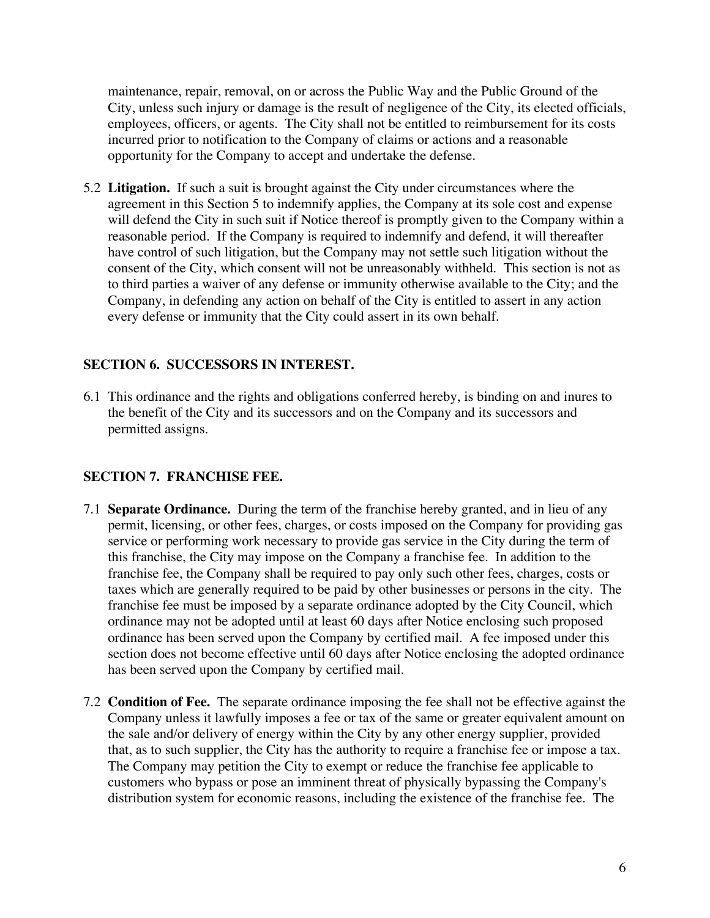maintenance, repair, removal, on or across the Public Way and the Public Ground of the City, unless such injury or damage is the result of negligence of the City, its elected officials, employees, officers, or agents. The City shall not be entitled to reimbursement for its costs incurred prior to notification to the Company of claims or actions and a reasonable opportunity for the Company to accept and undertake the defense.

5.2 **Litigation.** If such a suit is brought against the City under circumstances where the agreement in this Section 5 to indemnify applies, the Company at its sole cost and expense will defend the City in such suit if Notice thereof is promptly given to the Company within a reasonable period. If the Company is required to indemnify and defend, it will thereafter have control of such litigation, but the Company may not settle such litigation without the consent of the City, which consent will not be unreasonably withheld. This section is not as to third parties a waiver of any defense or immunity otherwise available to the City; and the Company, in defending any action on behalf of the City is entitled to assert in any action every defense or immunity that the City could assert in its own behalf.

# **SECTION 6. SUCCESSORS IN INTEREST.**

6.1 This ordinance and the rights and obligations conferred hereby, is binding on and inures to the benefit of the City and its successors and on the Company and its successors and permitted assigns.

# **SECTION 7. FRANCHISE FEE.**

- 7.1 **Separate Ordinance.** During the term of the franchise hereby granted, and in lieu of any permit, licensing, or other fees, charges, or costs imposed on the Company for providing gas service or performing work necessary to provide gas service in the City during the term of this franchise, the City may impose on the Company a franchise fee. In addition to the franchise fee, the Company shall be required to pay only such other fees, charges, costs or taxes which are generally required to be paid by other businesses or persons in the city. The franchise fee must be imposed by a separate ordinance adopted by the City Council, which ordinance may not be adopted until at least 60 days after Notice enclosing such proposed ordinance has been served upon the Company by certified mail. A fee imposed under this section does not become effective until 60 days after Notice enclosing the adopted ordinance has been served upon the Company by certified mail.
- 7.2 **Condition of Fee.** The separate ordinance imposing the fee shall not be effective against the Company unless it lawfully imposes a fee or tax of the same or greater equivalent amount on the sale and/or delivery of energy within the City by any other energy supplier, provided that, as to such supplier, the City has the authority to require a franchise fee or impose a tax. The Company may petition the City to exempt or reduce the franchise fee applicable to customers who bypass or pose an imminent threat of physically bypassing the Company's distribution system for economic reasons, including the existence of the franchise fee. The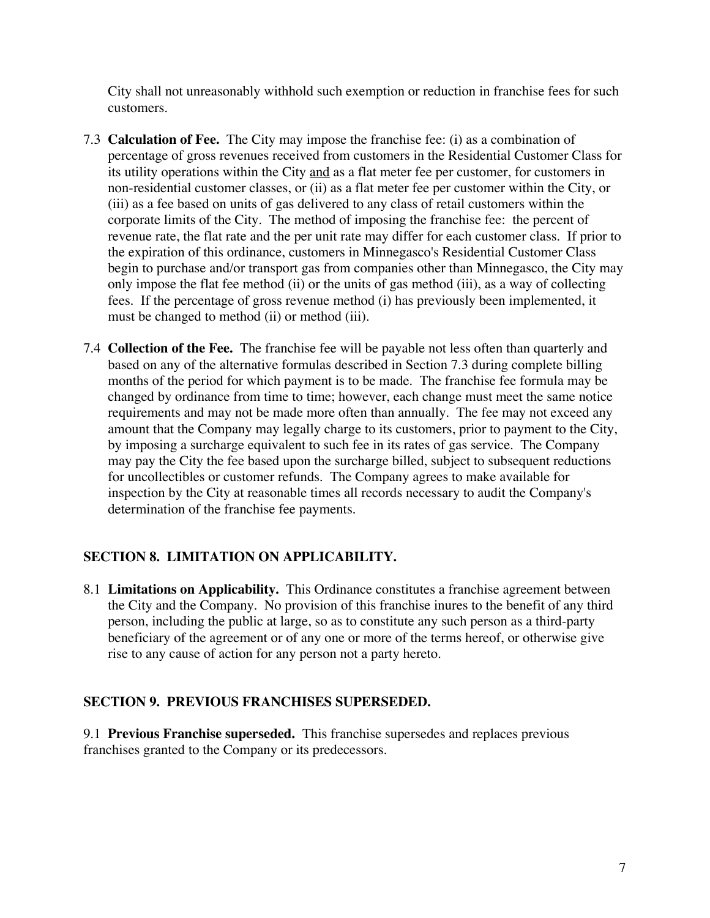City shall not unreasonably withhold such exemption or reduction in franchise fees for such customers.

- 7.3 **Calculation of Fee.** The City may impose the franchise fee: (i) as a combination of percentage of gross revenues received from customers in the Residential Customer Class for its utility operations within the City and as a flat meter fee per customer, for customers in non-residential customer classes, or (ii) as a flat meter fee per customer within the City, or (iii) as a fee based on units of gas delivered to any class of retail customers within the corporate limits of the City. The method of imposing the franchise fee: the percent of revenue rate, the flat rate and the per unit rate may differ for each customer class. If prior to the expiration of this ordinance, customers in Minnegasco's Residential Customer Class begin to purchase and/or transport gas from companies other than Minnegasco, the City may only impose the flat fee method (ii) or the units of gas method (iii), as a way of collecting fees. If the percentage of gross revenue method (i) has previously been implemented, it must be changed to method (ii) or method (iii).
- 7.4 **Collection of the Fee.** The franchise fee will be payable not less often than quarterly and based on any of the alternative formulas described in Section 7.3 during complete billing months of the period for which payment is to be made. The franchise fee formula may be changed by ordinance from time to time; however, each change must meet the same notice requirements and may not be made more often than annually. The fee may not exceed any amount that the Company may legally charge to its customers, prior to payment to the City, by imposing a surcharge equivalent to such fee in its rates of gas service. The Company may pay the City the fee based upon the surcharge billed, subject to subsequent reductions for uncollectibles or customer refunds. The Company agrees to make available for inspection by the City at reasonable times all records necessary to audit the Company's determination of the franchise fee payments.

# **SECTION 8. LIMITATION ON APPLICABILITY.**

8.1 **Limitations on Applicability.** This Ordinance constitutes a franchise agreement between the City and the Company. No provision of this franchise inures to the benefit of any third person, including the public at large, so as to constitute any such person as a third-party beneficiary of the agreement or of any one or more of the terms hereof, or otherwise give rise to any cause of action for any person not a party hereto.

# **SECTION 9. PREVIOUS FRANCHISES SUPERSEDED.**

9.1 **Previous Franchise superseded.** This franchise supersedes and replaces previous franchises granted to the Company or its predecessors.